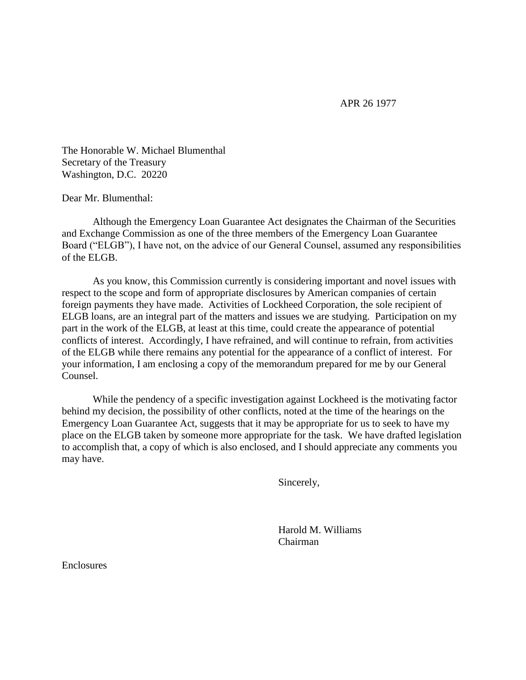APR 26 1977

The Honorable W. Michael Blumenthal Secretary of the Treasury Washington, D.C. 20220

Dear Mr. Blumenthal:

Although the Emergency Loan Guarantee Act designates the Chairman of the Securities and Exchange Commission as one of the three members of the Emergency Loan Guarantee Board ("ELGB"), I have not, on the advice of our General Counsel, assumed any responsibilities of the ELGB.

As you know, this Commission currently is considering important and novel issues with respect to the scope and form of appropriate disclosures by American companies of certain foreign payments they have made. Activities of Lockheed Corporation, the sole recipient of ELGB loans, are an integral part of the matters and issues we are studying. Participation on my part in the work of the ELGB, at least at this time, could create the appearance of potential conflicts of interest. Accordingly, I have refrained, and will continue to refrain, from activities of the ELGB while there remains any potential for the appearance of a conflict of interest. For your information, I am enclosing a copy of the memorandum prepared for me by our General Counsel.

While the pendency of a specific investigation against Lockheed is the motivating factor behind my decision, the possibility of other conflicts, noted at the time of the hearings on the Emergency Loan Guarantee Act, suggests that it may be appropriate for us to seek to have my place on the ELGB taken by someone more appropriate for the task. We have drafted legislation to accomplish that, a copy of which is also enclosed, and I should appreciate any comments you may have.

Sincerely,

Harold M. Williams Chairman

**Enclosures**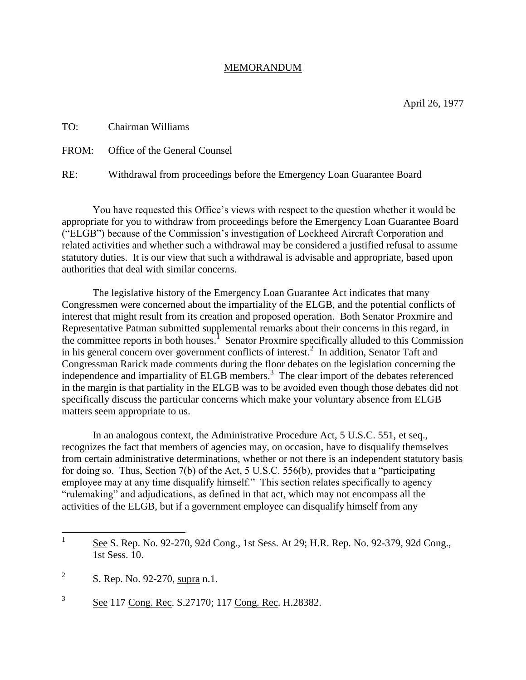## MEMORANDUM

TO: Chairman Williams FROM: Office of the General Counsel

RE: Withdrawal from proceedings before the Emergency Loan Guarantee Board

You have requested this Office's views with respect to the question whether it would be appropriate for you to withdraw from proceedings before the Emergency Loan Guarantee Board ("ELGB") because of the Commission's investigation of Lockheed Aircraft Corporation and related activities and whether such a withdrawal may be considered a justified refusal to assume statutory duties. It is our view that such a withdrawal is advisable and appropriate, based upon authorities that deal with similar concerns.

The legislative history of the Emergency Loan Guarantee Act indicates that many Congressmen were concerned about the impartiality of the ELGB, and the potential conflicts of interest that might result from its creation and proposed operation. Both Senator Proxmire and Representative Patman submitted supplemental remarks about their concerns in this regard, in the committee reports in both houses.<sup>1</sup> Senator Proxmire specifically alluded to this Commission in his general concern over government conflicts of interest.<sup>2</sup> In addition, Senator Taft and Congressman Rarick made comments during the floor debates on the legislation concerning the independence and impartiality of ELGB members. 3 The clear import of the debates referenced in the margin is that partiality in the ELGB was to be avoided even though those debates did not specifically discuss the particular concerns which make your voluntary absence from ELGB matters seem appropriate to us.

In an analogous context, the Administrative Procedure Act, 5 U.S.C. 551, et seq., recognizes the fact that members of agencies may, on occasion, have to disqualify themselves from certain administrative determinations, whether or not there is an independent statutory basis for doing so. Thus, Section 7(b) of the Act, 5 U.S.C. 556(b), provides that a "participating employee may at any time disqualify himself." This section relates specifically to agency "rulemaking" and adjudications, as defined in that act, which may not encompass all the activities of the ELGB, but if a government employee can disqualify himself from any

3 See 117 Cong. Rec. S.27170; 117 Cong. Rec. H.28382.

 $\frac{1}{1}$ See S. Rep. No. 92-270, 92d Cong., 1st Sess. At 29; H.R. Rep. No. 92-379, 92d Cong., 1st Sess. 10.

<sup>2</sup> S. Rep. No. 92-270, supra n.1.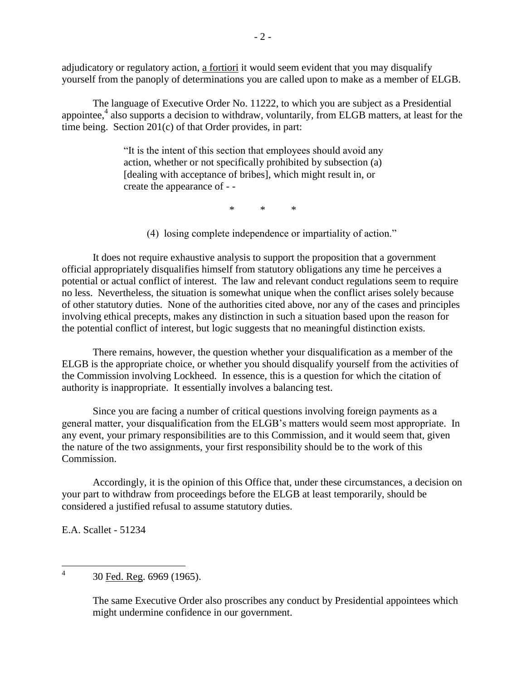adjudicatory or regulatory action, a fortiori it would seem evident that you may disqualify yourself from the panoply of determinations you are called upon to make as a member of ELGB.

The language of Executive Order No. 11222, to which you are subject as a Presidential appointee,<sup>4</sup> also supports a decision to withdraw, voluntarily, from ELGB matters, at least for the time being. Section 201(c) of that Order provides, in part:

> "It is the intent of this section that employees should avoid any action, whether or not specifically prohibited by subsection (a) [dealing with acceptance of bribes], which might result in, or create the appearance of - -

> > \* \* \*

(4) losing complete independence or impartiality of action."

It does not require exhaustive analysis to support the proposition that a government official appropriately disqualifies himself from statutory obligations any time he perceives a potential or actual conflict of interest. The law and relevant conduct regulations seem to require no less. Nevertheless, the situation is somewhat unique when the conflict arises solely because of other statutory duties. None of the authorities cited above, nor any of the cases and principles involving ethical precepts, makes any distinction in such a situation based upon the reason for the potential conflict of interest, but logic suggests that no meaningful distinction exists.

There remains, however, the question whether your disqualification as a member of the ELGB is the appropriate choice, or whether you should disqualify yourself from the activities of the Commission involving Lockheed. In essence, this is a question for which the citation of authority is inappropriate. It essentially involves a balancing test.

Since you are facing a number of critical questions involving foreign payments as a general matter, your disqualification from the ELGB's matters would seem most appropriate. In any event, your primary responsibilities are to this Commission, and it would seem that, given the nature of the two assignments, your first responsibility should be to the work of this Commission.

Accordingly, it is the opinion of this Office that, under these circumstances, a decision on your part to withdraw from proceedings before the ELGB at least temporarily, should be considered a justified refusal to assume statutory duties.

E.A. Scallet - 51234

The same Executive Order also proscribes any conduct by Presidential appointees which might undermine confidence in our government.

 $\frac{1}{4}$ 30 Fed. Reg. 6969 (1965).